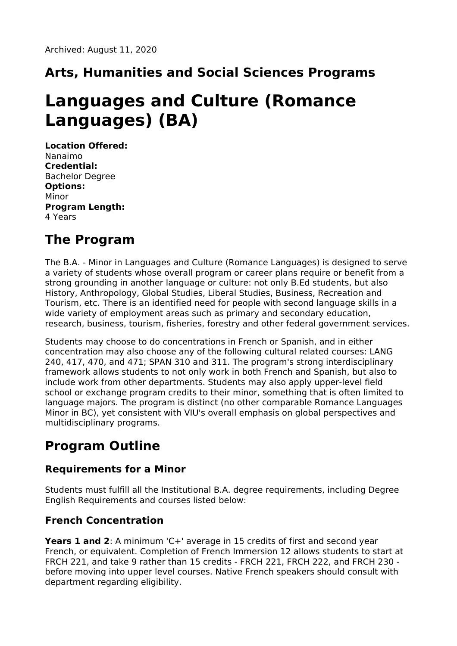## **Arts, Humanities and Social Sciences Programs**

# **Languages and Culture (Romance Languages) (BA)**

**Location Offered:** Nanaimo **Credential:** Bachelor Degree **Options:** Minor **Program Length:** 4 Years

### **The Program**

The B.A. - Minor in Languages and Culture (Romance Languages) is designed to serve a variety of students whose overall program or career plans require or benefit from a strong grounding in another language or culture: not only B.Ed students, but also History, Anthropology, Global Studies, Liberal Studies, Business, Recreation and Tourism, etc. There is an identified need for people with second language skills in a wide variety of employment areas such as primary and secondary education, research, business, tourism, fisheries, forestry and other federal government services.

Students may choose to do concentrations in French or Spanish, and in either concentration may also choose any of the following cultural related courses: LANG 240, 417, 470, and 471; SPAN 310 and 311. The program's strong interdisciplinary framework allows students to not only work in both French and Spanish, but also to include work from other departments. Students may also apply upper-level field school or exchange program credits to their minor, something that is often limited to language majors. The program is distinct (no other comparable Romance Languages Minor in BC), yet consistent with VIU's overall emphasis on global perspectives and multidisciplinary programs.

### **Program Outline**

#### **Requirements for a Minor**

Students must fulfill all the Institutional B.A. degree requirements, including Degree English Requirements and courses listed below:

#### **French Concentration**

**Years 1 and 2**: A minimum 'C+' average in 15 credits of first and second year French, or equivalent. Completion of French Immersion 12 allows students to start at FRCH 221, and take 9 rather than 15 credits - FRCH 221, FRCH 222, and FRCH 230 before moving into upper level courses. Native French speakers should consult with department regarding eligibility.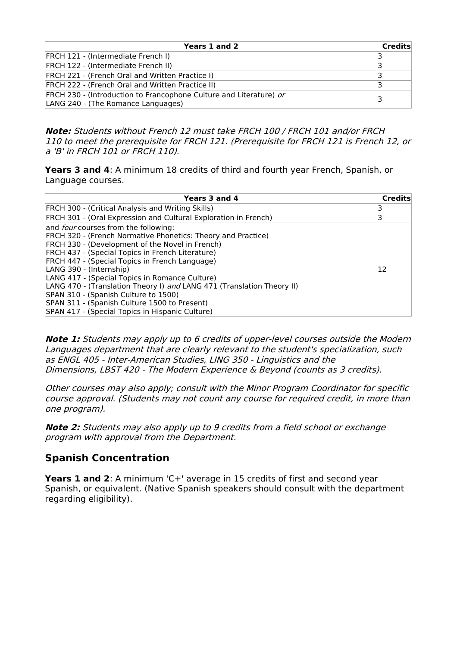| Years 1 and 2                                                                                            | Credits |
|----------------------------------------------------------------------------------------------------------|---------|
| <b>FRCH 121 - (Intermediate French I)</b>                                                                |         |
| <b>FRCH 122 - (Intermediate French II)</b>                                                               |         |
| <b>FRCH 221 - (French Oral and Written Practice I)</b>                                                   |         |
| <b>FRCH 222 - (French Oral and Written Practice II)</b>                                                  |         |
| FRCH 230 - (Introduction to Francophone Culture and Literature) or<br>LANG 240 - (The Romance Languages) |         |

**Note:** Students without French 12 must take FRCH 100 / FRCH 101 and/or FRCH 110 to meet the prerequisite for FRCH 121. (Prerequisite for FRCH 121 is French 12, or <sup>a</sup> 'B' in FRCH 101 or FRCH 110).

**Years 3 and 4**: A minimum 18 credits of third and fourth year French, Spanish, or Language courses.

| Years 3 and 4                                                                                                                                                                                                                                                                                                                                                                                                                                                                                                                                                          | <b>Credits</b> |
|------------------------------------------------------------------------------------------------------------------------------------------------------------------------------------------------------------------------------------------------------------------------------------------------------------------------------------------------------------------------------------------------------------------------------------------------------------------------------------------------------------------------------------------------------------------------|----------------|
| FRCH 300 - (Critical Analysis and Writing Skills)                                                                                                                                                                                                                                                                                                                                                                                                                                                                                                                      |                |
| FRCH 301 - (Oral Expression and Cultural Exploration in French)                                                                                                                                                                                                                                                                                                                                                                                                                                                                                                        | 3              |
| and <i>four</i> courses from the following:<br>FRCH 320 - (French Normative Phonetics: Theory and Practice)<br>FRCH 330 - (Development of the Novel in French)<br>FRCH 437 - (Special Topics in French Literature)<br>FRCH 447 - (Special Topics in French Language)<br>LANG 390 - (Internship)<br>LANG 417 - (Special Topics in Romance Culture)<br>LANG 470 - (Translation Theory I) and LANG 471 (Translation Theory II)<br>SPAN 310 - (Spanish Culture to 1500)<br>SPAN 311 - (Spanish Culture 1500 to Present)<br>SPAN 417 - (Special Topics in Hispanic Culture) | 12             |

**Note 1:** Students may apply up to 6 credits of upper-level courses outside the Modern Languages department that are clearly relevant to the student's specialization, such as ENGL 405 - Inter-American Studies, LING 350 - Linguistics and the Dimensions, LBST 420 - The Modern Experience & Beyond (counts as 3 credits).

Other courses may also apply; consult with the Minor Program Coordinator for specific course approval. (Students may not count any course for required credit, in more than one program).

**Note 2:** Students may also apply up to 9 credits from <sup>a</sup> field school or exchange program with approval from the Department.

#### **Spanish Concentration**

**Years 1 and 2**: A minimum 'C+' average in 15 credits of first and second year Spanish, or equivalent. (Native Spanish speakers should consult with the department regarding eligibility).